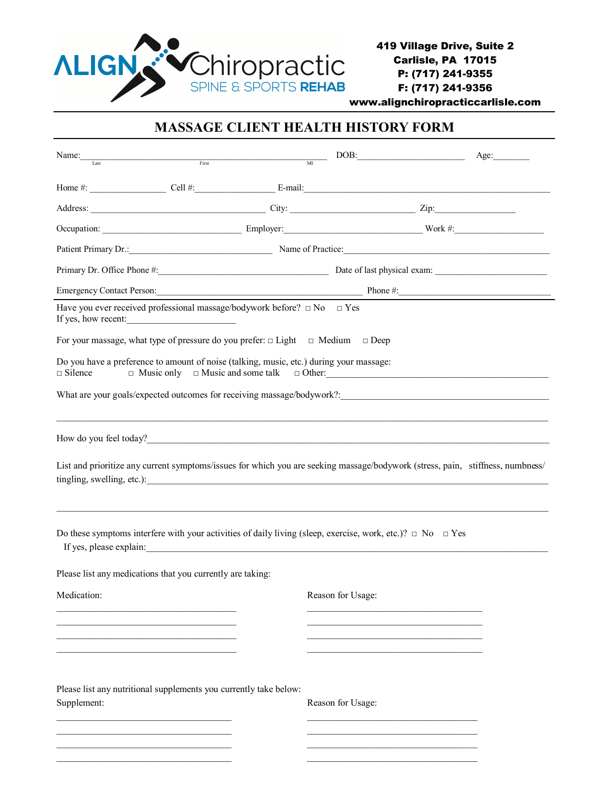

www.alignchiropracticcarlisle.com

## **MASSAGE CLIENT HEALTH HISTORY FORM**

| Name:                                                      | $\begin{tabular}{c} \bf First \\ \end{tabular}$                                                                                                                                                                                        | DOB:              | Age:                                                                                                                           |
|------------------------------------------------------------|----------------------------------------------------------------------------------------------------------------------------------------------------------------------------------------------------------------------------------------|-------------------|--------------------------------------------------------------------------------------------------------------------------------|
|                                                            |                                                                                                                                                                                                                                        |                   |                                                                                                                                |
|                                                            |                                                                                                                                                                                                                                        |                   |                                                                                                                                |
|                                                            |                                                                                                                                                                                                                                        |                   |                                                                                                                                |
|                                                            |                                                                                                                                                                                                                                        |                   |                                                                                                                                |
|                                                            | Patient Primary Dr.: Name of Practice:                                                                                                                                                                                                 |                   |                                                                                                                                |
|                                                            |                                                                                                                                                                                                                                        |                   |                                                                                                                                |
|                                                            |                                                                                                                                                                                                                                        |                   | Emergency Contact Person: Phone #:                                                                                             |
| If yes, how recent:                                        | Have you ever received professional massage/bodywork before? $\Box$ No $\Box$ Yes                                                                                                                                                      |                   |                                                                                                                                |
|                                                            | For your massage, what type of pressure do you prefer: $\Box$ Light $\Box$ Medium $\Box$ Deep                                                                                                                                          |                   |                                                                                                                                |
| $\Box$ Silence                                             | Do you have a preference to amount of noise (talking, music, etc.) during your massage:<br>$\Box$ Music only $\Box$ Music and some talk $\Box$ Other:                                                                                  |                   |                                                                                                                                |
|                                                            |                                                                                                                                                                                                                                        |                   |                                                                                                                                |
|                                                            | How do you feel today?<br><u> Letting and the contract of the contract of the contract of the contract of the contract of the contract of the contract of the contract of the contract of the contract of the contract of the cont</u> |                   |                                                                                                                                |
|                                                            | tingling, swelling, etc.):                                                                                                                                                                                                             |                   | List and prioritize any current symptoms/issues for which you are seeking massage/bodywork (stress, pain, stiffness, numbness/ |
|                                                            | Do these symptoms interfere with your activities of daily living (sleep, exercise, work, etc.)? $\Box$ No $\Box$ Yes                                                                                                                   |                   |                                                                                                                                |
| Please list any medications that you currently are taking: |                                                                                                                                                                                                                                        |                   |                                                                                                                                |
| Medication:                                                |                                                                                                                                                                                                                                        | Reason for Usage: |                                                                                                                                |
|                                                            |                                                                                                                                                                                                                                        |                   |                                                                                                                                |
|                                                            |                                                                                                                                                                                                                                        |                   |                                                                                                                                |
| Supplement:                                                | Please list any nutritional supplements you currently take below:                                                                                                                                                                      | Reason for Usage: |                                                                                                                                |
|                                                            |                                                                                                                                                                                                                                        |                   |                                                                                                                                |